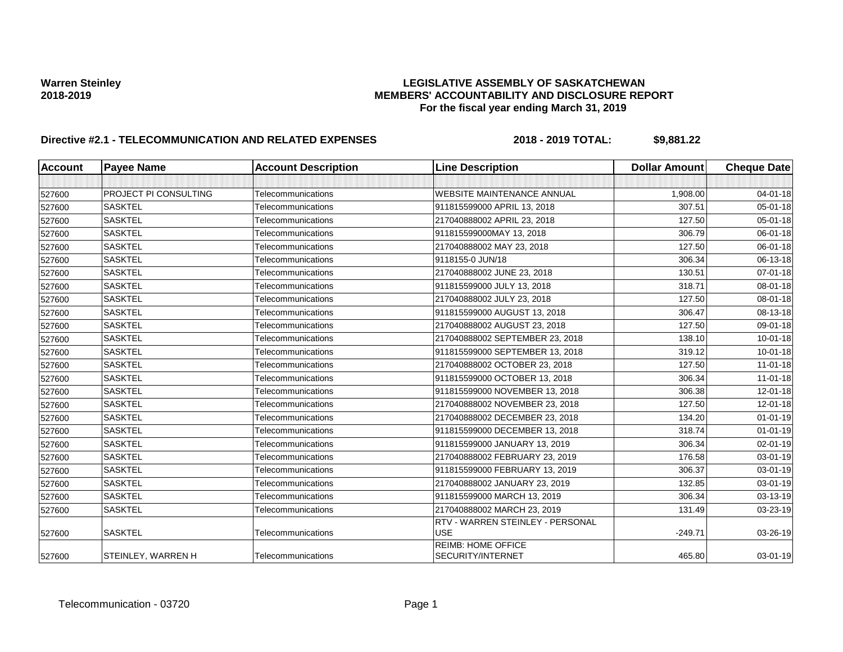# Warren Steinley **Marren Steinley (EGISLATIVE ASSEMBLY OF SASKATCHEWAN**<br>MEMBERS' ACCOUNTABILITY AND DISCLOSURE REF **2018-2019 MEMBERS' ACCOUNTABILITY AND DISCLOSURE REPORT For the fiscal year ending March 31, 2019**

| Account | <b>Payee Name</b>            | <b>Account Description</b> | <b>Line Description</b>                               | <b>Dollar Amount</b> | <b>Cheque Date</b> |
|---------|------------------------------|----------------------------|-------------------------------------------------------|----------------------|--------------------|
|         |                              |                            |                                                       |                      |                    |
| 527600  | <b>PROJECT PI CONSULTING</b> | Telecommunications         | WEBSITE MAINTENANCE ANNUAL                            | 1,908.00             | $04 - 01 - 18$     |
| 527600  | <b>SASKTEL</b>               | Telecommunications         | 911815599000 APRIL 13, 2018                           | 307.51               | 05-01-18           |
| 527600  | <b>SASKTEL</b>               | Telecommunications         | 217040888002 APRIL 23, 2018                           | 127.50               | 05-01-18           |
| 527600  | <b>SASKTEL</b>               | Telecommunications         | 911815599000MAY 13, 2018                              | 306.79               | 06-01-18           |
| 527600  | <b>SASKTEL</b>               | Telecommunications         | 217040888002 MAY 23, 2018                             | 127.50               | 06-01-18           |
| 527600  | <b>SASKTEL</b>               | Telecommunications         | 9118155-0 JUN/18                                      | 306.34               | 06-13-18           |
| 527600  | <b>SASKTEL</b>               | Telecommunications         | 217040888002 JUNE 23, 2018                            | 130.51               | 07-01-18           |
| 527600  | <b>SASKTEL</b>               | Telecommunications         | 911815599000 JULY 13, 2018                            | 318.71               | 08-01-18           |
| 527600  | <b>SASKTEL</b>               | Telecommunications         | 217040888002 JULY 23, 2018                            | 127.50               | 08-01-18           |
| 527600  | <b>SASKTEL</b>               | Telecommunications         | 911815599000 AUGUST 13, 2018                          | 306.47               | 08-13-18           |
| 527600  | <b>SASKTEL</b>               | Telecommunications         | 217040888002 AUGUST 23, 2018                          | 127.50               | 09-01-18           |
| 527600  | <b>SASKTEL</b>               | Telecommunications         | 217040888002 SEPTEMBER 23, 2018                       | 138.10               | $10 - 01 - 18$     |
| 527600  | <b>SASKTEL</b>               | Telecommunications         | 911815599000 SEPTEMBER 13, 2018                       | 319.12               | $10 - 01 - 18$     |
| 527600  | <b>SASKTEL</b>               | Telecommunications         | 217040888002 OCTOBER 23, 2018                         | 127.50               | $11 - 01 - 18$     |
| 527600  | <b>SASKTEL</b>               | Telecommunications         | 911815599000 OCTOBER 13, 2018                         | 306.34               | $11 - 01 - 18$     |
| 527600  | <b>SASKTEL</b>               | Telecommunications         | 911815599000 NOVEMBER 13, 2018                        | 306.38               | 12-01-18           |
| 527600  | <b>SASKTEL</b>               | Telecommunications         | 217040888002 NOVEMBER 23, 2018                        | 127.50               | 12-01-18           |
| 527600  | <b>SASKTEL</b>               | Telecommunications         | 217040888002 DECEMBER 23, 2018                        | 134.20               | $01 - 01 - 19$     |
| 527600  | <b>SASKTEL</b>               | Telecommunications         | 911815599000 DECEMBER 13, 2018                        | 318.74               | $01 - 01 - 19$     |
| 527600  | <b>SASKTEL</b>               | Telecommunications         | 911815599000 JANUARY 13, 2019                         | 306.34               | 02-01-19           |
| 527600  | <b>SASKTEL</b>               | Telecommunications         | 217040888002 FEBRUARY 23, 2019                        | 176.58               | 03-01-19           |
| 527600  | <b>SASKTEL</b>               | Telecommunications         | 911815599000 FEBRUARY 13, 2019                        | 306.37               | 03-01-19           |
| 527600  | <b>SASKTEL</b>               | Telecommunications         | 217040888002 JANUARY 23, 2019                         | 132.85               | 03-01-19           |
| 527600  | <b>SASKTEL</b>               | Telecommunications         | 911815599000 MARCH 13, 2019                           | 306.34               | 03-13-19           |
| 527600  | <b>SASKTEL</b>               | Telecommunications         | 217040888002 MARCH 23, 2019                           | 131.49               | 03-23-19           |
| 527600  | <b>SASKTEL</b>               | Telecommunications         | RTV - WARREN STEINLEY - PERSONAL<br><b>USE</b>        | $-249.71$            | 03-26-19           |
| 527600  | STEINLEY, WARREN H           | Telecommunications         | <b>REIMB: HOME OFFICE</b><br><b>SECURITY/INTERNET</b> | 465.80               | $03 - 01 - 19$     |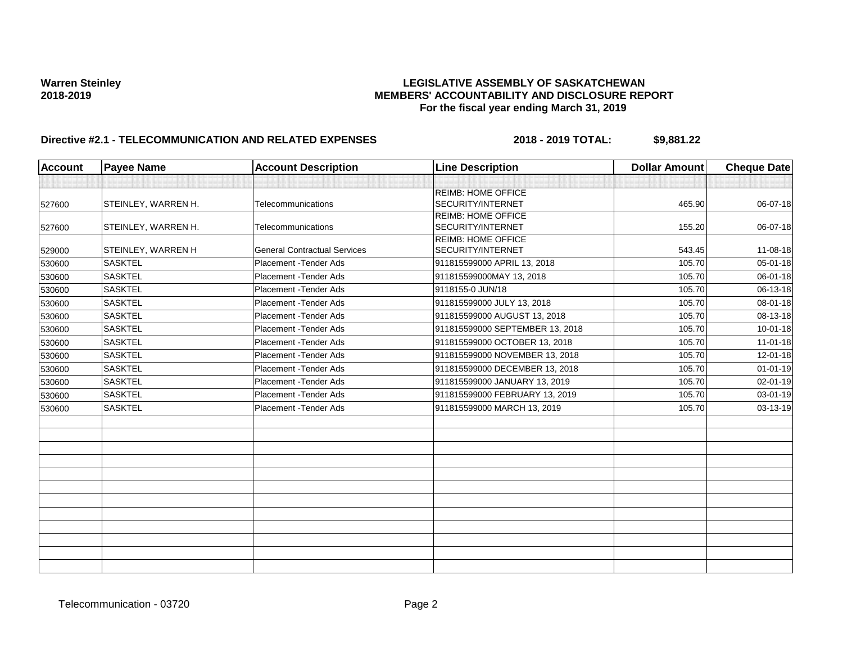## Warren Steinley<br>**LEGISLATIVE ASSEMBLY OF SASKATCHEWAN**<br>MEMBERS' ACCOUNTABILITY AND DISCLOSURE REF **2018-2019 MEMBERS' ACCOUNTABILITY AND DISCLOSURE REPORT For the fiscal year ending March 31, 2019**

| <b>Account</b> | <b>Payee Name</b>         | <b>Account Description</b>          | <b>Line Description</b>         | <b>Dollar Amount</b> | <b>Cheque Date</b> |
|----------------|---------------------------|-------------------------------------|---------------------------------|----------------------|--------------------|
|                |                           |                                     |                                 |                      |                    |
|                |                           |                                     | <b>REIMB: HOME OFFICE</b>       |                      |                    |
| 527600         | STEINLEY, WARREN H.       | Telecommunications                  | <b>SECURITY/INTERNET</b>        | 465.90               | 06-07-18           |
|                |                           |                                     | <b>REIMB: HOME OFFICE</b>       |                      |                    |
| 527600         | STEINLEY, WARREN H.       | Telecommunications                  | <b>SECURITY/INTERNET</b>        | 155.20               | 06-07-18           |
|                |                           |                                     | <b>REIMB: HOME OFFICE</b>       |                      |                    |
| 529000         | <b>STEINLEY, WARREN H</b> | <b>General Contractual Services</b> | <b>SECURITY/INTERNET</b>        | 543.45               | 11-08-18           |
| 530600         | <b>SASKTEL</b>            | Placement - Tender Ads              | 911815599000 APRIL 13, 2018     | 105.70               | $05 - 01 - 18$     |
| 530600         | <b>SASKTEL</b>            | Placement - Tender Ads              | 911815599000MAY 13, 2018        | 105.70               | 06-01-18           |
| 530600         | <b>SASKTEL</b>            | Placement - Tender Ads              | 9118155-0 JUN/18                | 105.70               | 06-13-18           |
| 530600         | <b>SASKTEL</b>            | Placement - Tender Ads              | 911815599000 JULY 13, 2018      | 105.70               | 08-01-18           |
| 530600         | <b>SASKTEL</b>            | Placement - Tender Ads              | 911815599000 AUGUST 13, 2018    | 105.70               | 08-13-18           |
| 530600         | <b>SASKTEL</b>            | Placement - Tender Ads              | 911815599000 SEPTEMBER 13, 2018 | 105.70               | $10 - 01 - 18$     |
| 530600         | <b>SASKTEL</b>            | Placement - Tender Ads              | 911815599000 OCTOBER 13, 2018   | 105.70               | $11-01-18$         |
| 530600         | <b>SASKTEL</b>            | Placement - Tender Ads              | 911815599000 NOVEMBER 13, 2018  | 105.70               | 12-01-18           |
| 530600         | <b>SASKTEL</b>            | Placement - Tender Ads              | 911815599000 DECEMBER 13, 2018  | 105.70               | $01 - 01 - 19$     |
| 530600         | <b>SASKTEL</b>            | Placement - Tender Ads              | 911815599000 JANUARY 13, 2019   | 105.70               | 02-01-19           |
| 530600         | <b>SASKTEL</b>            | Placement - Tender Ads              | 911815599000 FEBRUARY 13, 2019  | 105.70               | 03-01-19           |
| 530600         | <b>SASKTEL</b>            | Placement - Tender Ads              | 911815599000 MARCH 13, 2019     | 105.70               | 03-13-19           |
|                |                           |                                     |                                 |                      |                    |
|                |                           |                                     |                                 |                      |                    |
|                |                           |                                     |                                 |                      |                    |
|                |                           |                                     |                                 |                      |                    |
|                |                           |                                     |                                 |                      |                    |
|                |                           |                                     |                                 |                      |                    |
|                |                           |                                     |                                 |                      |                    |
|                |                           |                                     |                                 |                      |                    |
|                |                           |                                     |                                 |                      |                    |
|                |                           |                                     |                                 |                      |                    |
|                |                           |                                     |                                 |                      |                    |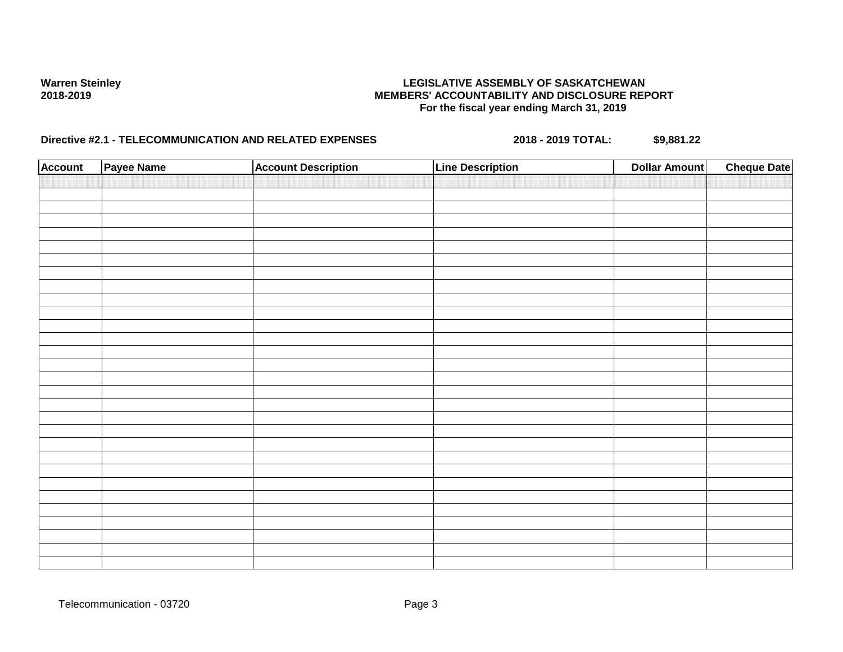## Warren Steinley<br>**LEGISLATIVE ASSEMBLY OF SASKATCHEWAN**<br>MEMBERS' ACCOUNTABILITY AND DISCLOSURE REF **2018-2019 MEMBERS' ACCOUNTABILITY AND DISCLOSURE REPORT For the fiscal year ending March 31, 2019**

| <b>Account</b> | Payee Name | <b>Account Description</b> | <b>Line Description</b> | <b>Dollar Amount</b> | <b>Cheque Date</b> |
|----------------|------------|----------------------------|-------------------------|----------------------|--------------------|
|                |            |                            |                         |                      |                    |
|                |            |                            |                         |                      |                    |
|                |            |                            |                         |                      |                    |
|                |            |                            |                         |                      |                    |
|                |            |                            |                         |                      |                    |
|                |            |                            |                         |                      |                    |
|                |            |                            |                         |                      |                    |
|                |            |                            |                         |                      |                    |
|                |            |                            |                         |                      |                    |
|                |            |                            |                         |                      |                    |
|                |            |                            |                         |                      |                    |
|                |            |                            |                         |                      |                    |
|                |            |                            |                         |                      |                    |
|                |            |                            |                         |                      |                    |
|                |            |                            |                         |                      |                    |
|                |            |                            |                         |                      |                    |
|                |            |                            |                         |                      |                    |
|                |            |                            |                         |                      |                    |
|                |            |                            |                         |                      |                    |
|                |            |                            |                         |                      |                    |
|                |            |                            |                         |                      |                    |
|                |            |                            |                         |                      |                    |
|                |            |                            |                         |                      |                    |
|                |            |                            |                         |                      |                    |
|                |            |                            |                         |                      |                    |
|                |            |                            |                         |                      |                    |
|                |            |                            |                         |                      |                    |
|                |            |                            |                         |                      |                    |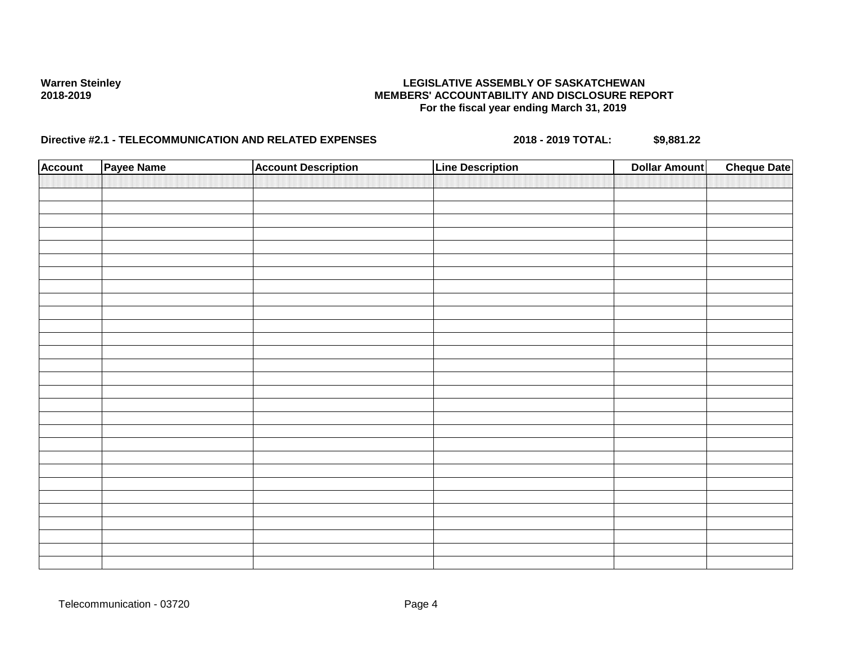# Warren Steinley **Marren Steinley (EGISLATIVE ASSEMBLY OF SASKATCHEWAN**<br>MEMBERS' ACCOUNTABILITY AND DISCLOSURE REF **2018-2019 MEMBERS' ACCOUNTABILITY AND DISCLOSURE REPORT For the fiscal year ending March 31, 2019**

| <b>Account</b> | Payee Name | <b>Account Description</b> | <b>Line Description</b> | <b>Dollar Amount</b> | <b>Cheque Date</b> |
|----------------|------------|----------------------------|-------------------------|----------------------|--------------------|
|                |            |                            |                         |                      |                    |
|                |            |                            |                         |                      |                    |
|                |            |                            |                         |                      |                    |
|                |            |                            |                         |                      |                    |
|                |            |                            |                         |                      |                    |
|                |            |                            |                         |                      |                    |
|                |            |                            |                         |                      |                    |
|                |            |                            |                         |                      |                    |
|                |            |                            |                         |                      |                    |
|                |            |                            |                         |                      |                    |
|                |            |                            |                         |                      |                    |
|                |            |                            |                         |                      |                    |
|                |            |                            |                         |                      |                    |
|                |            |                            |                         |                      |                    |
|                |            |                            |                         |                      |                    |
|                |            |                            |                         |                      |                    |
|                |            |                            |                         |                      |                    |
|                |            |                            |                         |                      |                    |
|                |            |                            |                         |                      |                    |
|                |            |                            |                         |                      |                    |
|                |            |                            |                         |                      |                    |
|                |            |                            |                         |                      |                    |
|                |            |                            |                         |                      |                    |
|                |            |                            |                         |                      |                    |
|                |            |                            |                         |                      |                    |
|                |            |                            |                         |                      |                    |
|                |            |                            |                         |                      |                    |
|                |            |                            |                         |                      |                    |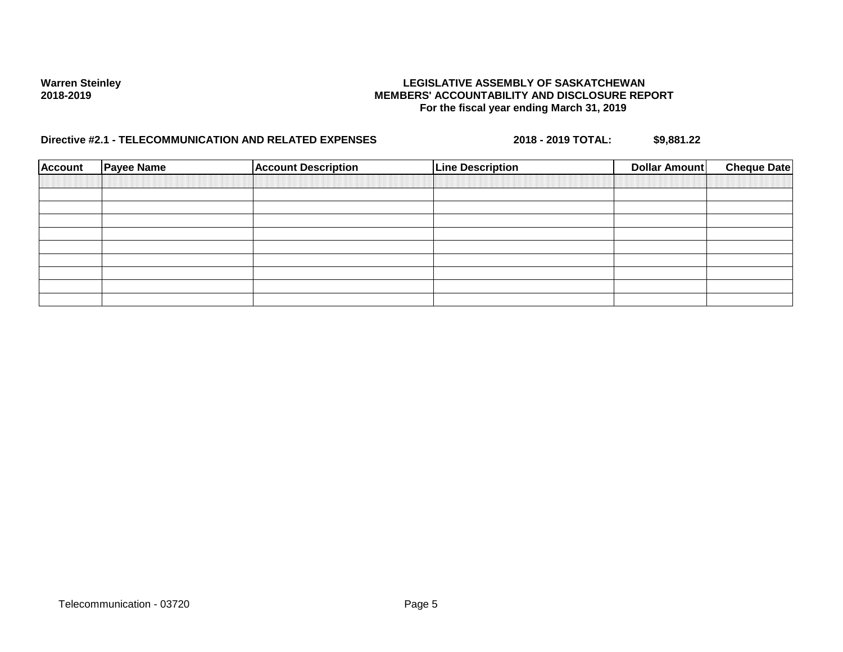## Warren Steinley<br>**LEGISLATIVE ASSEMBLY OF SASKATCHEWAN**<br>MEMBERS' ACCOUNTABILITY AND DISCLOSURE REF **2018-2019 MEMBERS' ACCOUNTABILITY AND DISCLOSURE REPORT For the fiscal year ending March 31, 2019**

| <b>Account</b> | <b>Payee Name</b> | <b>Account Description</b> | <b>Line Description</b> | Dollar Amount | <b>Cheque Date</b> |
|----------------|-------------------|----------------------------|-------------------------|---------------|--------------------|
|                |                   |                            |                         |               |                    |
|                |                   |                            |                         |               |                    |
|                |                   |                            |                         |               |                    |
|                |                   |                            |                         |               |                    |
|                |                   |                            |                         |               |                    |
|                |                   |                            |                         |               |                    |
|                |                   |                            |                         |               |                    |
|                |                   |                            |                         |               |                    |
|                |                   |                            |                         |               |                    |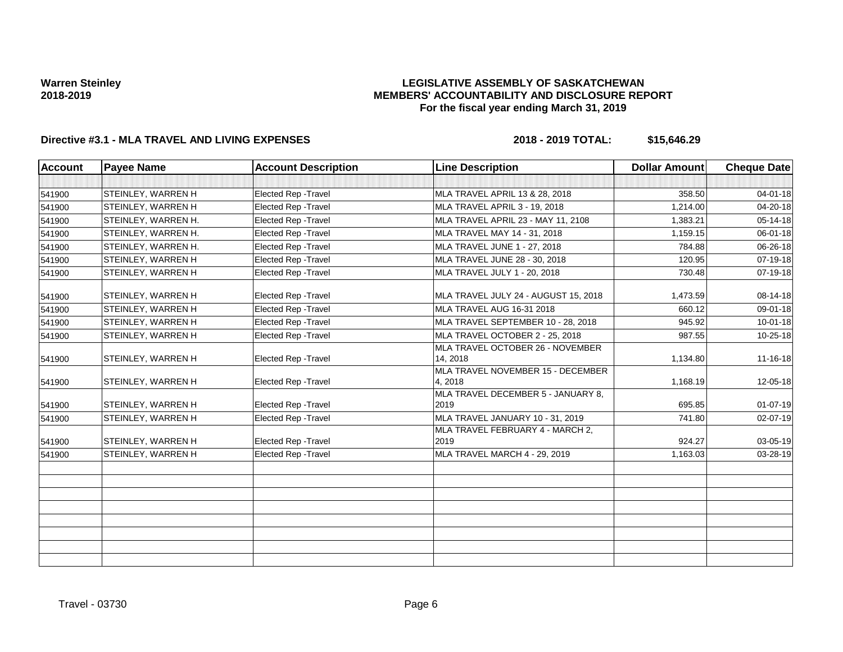## **LEGISLATIVE ASSEMBLY OF SASKATCHEWAN MEMBERS' ACCOUNTABILITY AND DISCLOSURE REPORT For the fiscal year ending March 31, 2019**

| <b>Account</b> | <b>Payee Name</b>          | <b>Account Description</b>  | <b>Line Description</b>                      | <b>Dollar Amount</b> | <b>Cheque Date</b> |
|----------------|----------------------------|-----------------------------|----------------------------------------------|----------------------|--------------------|
|                |                            |                             |                                              |                      |                    |
| 541900         | <b>STEINLEY, WARREN H</b>  | Elected Rep - Travel        | MLA TRAVEL APRIL 13 & 28, 2018               | 358.50               | 04-01-18           |
| 541900         | <b>STEINLEY, WARREN H</b>  | <b>Elected Rep - Travel</b> | MLA TRAVEL APRIL 3 - 19, 2018                | 1,214.00             | 04-20-18           |
| 541900         | STEINLEY, WARREN H.        | Elected Rep - Travel        | MLA TRAVEL APRIL 23 - MAY 11, 2108           | 1,383.21             | 05-14-18           |
| 541900         | <b>STEINLEY, WARREN H.</b> | <b>Elected Rep - Travel</b> | MLA TRAVEL MAY 14 - 31, 2018                 | 1,159.15             | 06-01-18           |
| 541900         | <b>STEINLEY, WARREN H.</b> | Elected Rep - Travel        | MLA TRAVEL JUNE 1 - 27, 2018                 | 784.88               | 06-26-18           |
| 541900         | <b>STEINLEY, WARREN H</b>  | <b>Elected Rep - Travel</b> | MLA TRAVEL JUNE 28 - 30, 2018                | 120.95               | 07-19-18           |
| 541900         | <b>STEINLEY, WARREN H</b>  | Elected Rep - Travel        | MLA TRAVEL JULY 1 - 20, 2018                 | 730.48               | 07-19-18           |
| 541900         | <b>STEINLEY, WARREN H</b>  | <b>Elected Rep - Travel</b> | MLA TRAVEL JULY 24 - AUGUST 15, 2018         | 1,473.59             | 08-14-18           |
| 541900         | STEINLEY, WARREN H         | Elected Rep - Travel        | MLA TRAVEL AUG 16-31 2018                    | 660.12               | 09-01-18           |
| 541900         | STEINLEY, WARREN H         | Elected Rep - Travel        | MLA TRAVEL SEPTEMBER 10 - 28, 2018           | 945.92               | 10-01-18           |
| 541900         | STEINLEY, WARREN H         | Elected Rep - Travel        | MLA TRAVEL OCTOBER 2 - 25, 2018              | 987.55               | 10-25-18           |
| 541900         | <b>STEINLEY, WARREN H</b>  | <b>Elected Rep - Travel</b> | MLA TRAVEL OCTOBER 26 - NOVEMBER<br>14, 2018 | 1,134.80             | $11 - 16 - 18$     |
| 541900         | <b>STEINLEY, WARREN H</b>  | Elected Rep - Travel        | MLA TRAVEL NOVEMBER 15 - DECEMBER<br>4, 2018 | 1,168.19             | 12-05-18           |
| 541900         | <b>STEINLEY, WARREN H</b>  | Elected Rep - Travel        | MLA TRAVEL DECEMBER 5 - JANUARY 8,<br>2019   | 695.85               | $01 - 07 - 19$     |
| 541900         | STEINLEY, WARREN H         | Elected Rep - Travel        | MLA TRAVEL JANUARY 10 - 31, 2019             | 741.80               | 02-07-19           |
| 541900         | <b>STEINLEY, WARREN H</b>  | Elected Rep - Travel        | MLA TRAVEL FEBRUARY 4 - MARCH 2,<br>2019     | 924.27               | 03-05-19           |
| 541900         | <b>STEINLEY, WARREN H</b>  | Elected Rep - Travel        | MLA TRAVEL MARCH 4 - 29, 2019                | 1,163.03             | 03-28-19           |
|                |                            |                             |                                              |                      |                    |
|                |                            |                             |                                              |                      |                    |
|                |                            |                             |                                              |                      |                    |
|                |                            |                             |                                              |                      |                    |
|                |                            |                             |                                              |                      |                    |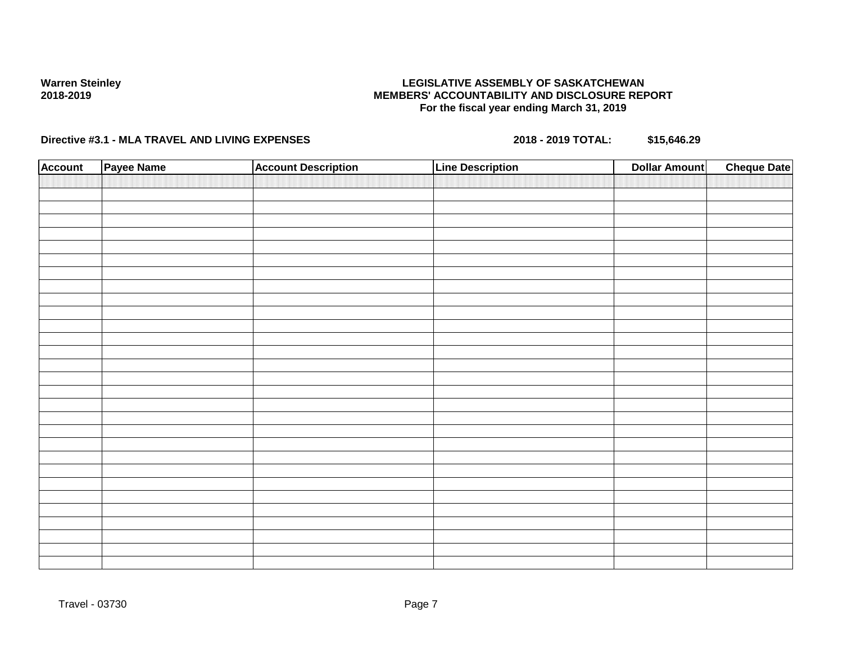## **LEGISLATIVE ASSEMBLY OF SASKATCHEWAN MEMBERS' ACCOUNTABILITY AND DISCLOSURE REPORT For the fiscal year ending March 31, 2019**

| <b>Account</b> | Payee Name | <b>Account Description</b> | <b>Line Description</b> | <b>Cheque Date</b><br><b>Dollar Amount</b> |
|----------------|------------|----------------------------|-------------------------|--------------------------------------------|
|                |            |                            |                         |                                            |
|                |            |                            |                         |                                            |
|                |            |                            |                         |                                            |
|                |            |                            |                         |                                            |
|                |            |                            |                         |                                            |
|                |            |                            |                         |                                            |
|                |            |                            |                         |                                            |
|                |            |                            |                         |                                            |
|                |            |                            |                         |                                            |
|                |            |                            |                         |                                            |
|                |            |                            |                         |                                            |
|                |            |                            |                         |                                            |
|                |            |                            |                         |                                            |
|                |            |                            |                         |                                            |
|                |            |                            |                         |                                            |
|                |            |                            |                         |                                            |
|                |            |                            |                         |                                            |
|                |            |                            |                         |                                            |
|                |            |                            |                         |                                            |
|                |            |                            |                         |                                            |
|                |            |                            |                         |                                            |
|                |            |                            |                         |                                            |
|                |            |                            |                         |                                            |
|                |            |                            |                         |                                            |
|                |            |                            |                         |                                            |
|                |            |                            |                         |                                            |
|                |            |                            |                         |                                            |
|                |            |                            |                         |                                            |
|                |            |                            |                         |                                            |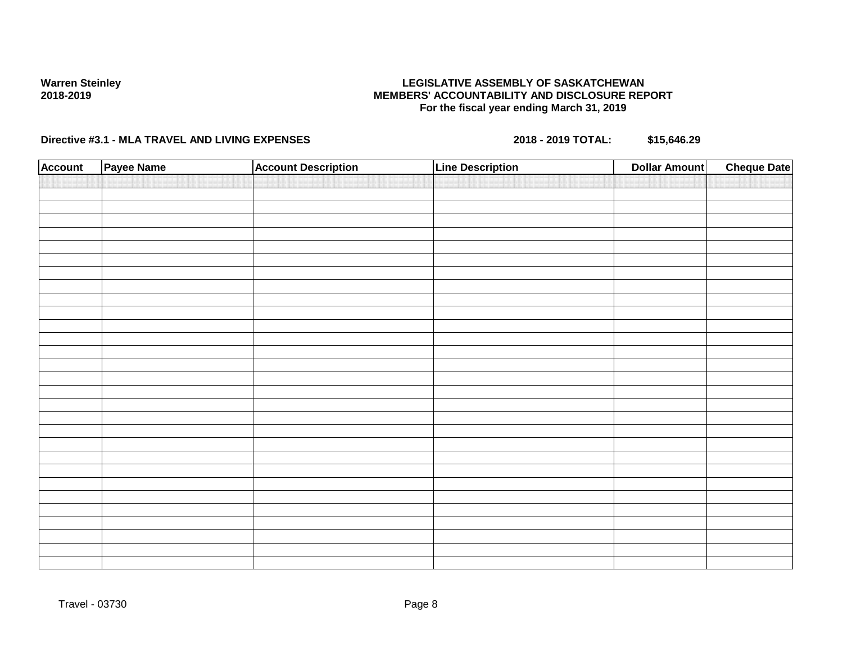## **LEGISLATIVE ASSEMBLY OF SASKATCHEWAN MEMBERS' ACCOUNTABILITY AND DISCLOSURE REPORT For the fiscal year ending March 31, 2019**

| <b>Account</b> | Payee Name | <b>Account Description</b> | <b>Line Description</b> | <b>Dollar Amount</b> | <b>Cheque Date</b> |
|----------------|------------|----------------------------|-------------------------|----------------------|--------------------|
|                |            |                            |                         |                      |                    |
|                |            |                            |                         |                      |                    |
|                |            |                            |                         |                      |                    |
|                |            |                            |                         |                      |                    |
|                |            |                            |                         |                      |                    |
|                |            |                            |                         |                      |                    |
|                |            |                            |                         |                      |                    |
|                |            |                            |                         |                      |                    |
|                |            |                            |                         |                      |                    |
|                |            |                            |                         |                      |                    |
|                |            |                            |                         |                      |                    |
|                |            |                            |                         |                      |                    |
|                |            |                            |                         |                      |                    |
|                |            |                            |                         |                      |                    |
|                |            |                            |                         |                      |                    |
|                |            |                            |                         |                      |                    |
|                |            |                            |                         |                      |                    |
|                |            |                            |                         |                      |                    |
|                |            |                            |                         |                      |                    |
|                |            |                            |                         |                      |                    |
|                |            |                            |                         |                      |                    |
|                |            |                            |                         |                      |                    |
|                |            |                            |                         |                      |                    |
|                |            |                            |                         |                      |                    |
|                |            |                            |                         |                      |                    |
|                |            |                            |                         |                      |                    |
|                |            |                            |                         |                      |                    |
|                |            |                            |                         |                      |                    |
|                |            |                            |                         |                      |                    |
|                |            |                            |                         |                      |                    |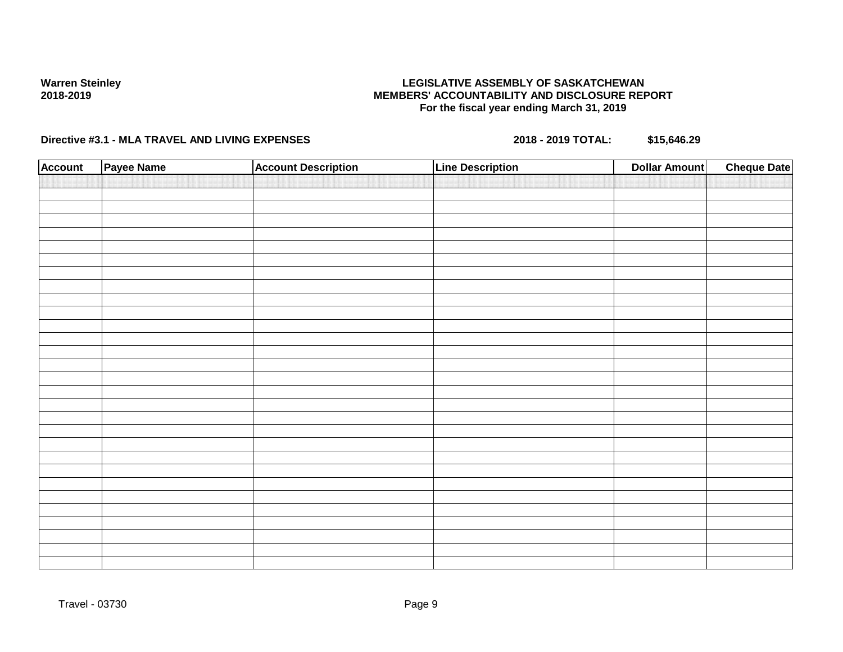## **LEGISLATIVE ASSEMBLY OF SASKATCHEWAN MEMBERS' ACCOUNTABILITY AND DISCLOSURE REPORT For the fiscal year ending March 31, 2019**

| <b>Account</b> | Payee Name | <b>Account Description</b> | <b>Line Description</b> | <b>Dollar Amount</b> | <b>Cheque Date</b> |
|----------------|------------|----------------------------|-------------------------|----------------------|--------------------|
|                |            |                            |                         |                      |                    |
|                |            |                            |                         |                      |                    |
|                |            |                            |                         |                      |                    |
|                |            |                            |                         |                      |                    |
|                |            |                            |                         |                      |                    |
|                |            |                            |                         |                      |                    |
|                |            |                            |                         |                      |                    |
|                |            |                            |                         |                      |                    |
|                |            |                            |                         |                      |                    |
|                |            |                            |                         |                      |                    |
|                |            |                            |                         |                      |                    |
|                |            |                            |                         |                      |                    |
|                |            |                            |                         |                      |                    |
|                |            |                            |                         |                      |                    |
|                |            |                            |                         |                      |                    |
|                |            |                            |                         |                      |                    |
|                |            |                            |                         |                      |                    |
|                |            |                            |                         |                      |                    |
|                |            |                            |                         |                      |                    |
|                |            |                            |                         |                      |                    |
|                |            |                            |                         |                      |                    |
|                |            |                            |                         |                      |                    |
|                |            |                            |                         |                      |                    |
|                |            |                            |                         |                      |                    |
|                |            |                            |                         |                      |                    |
|                |            |                            |                         |                      |                    |
|                |            |                            |                         |                      |                    |
|                |            |                            |                         |                      |                    |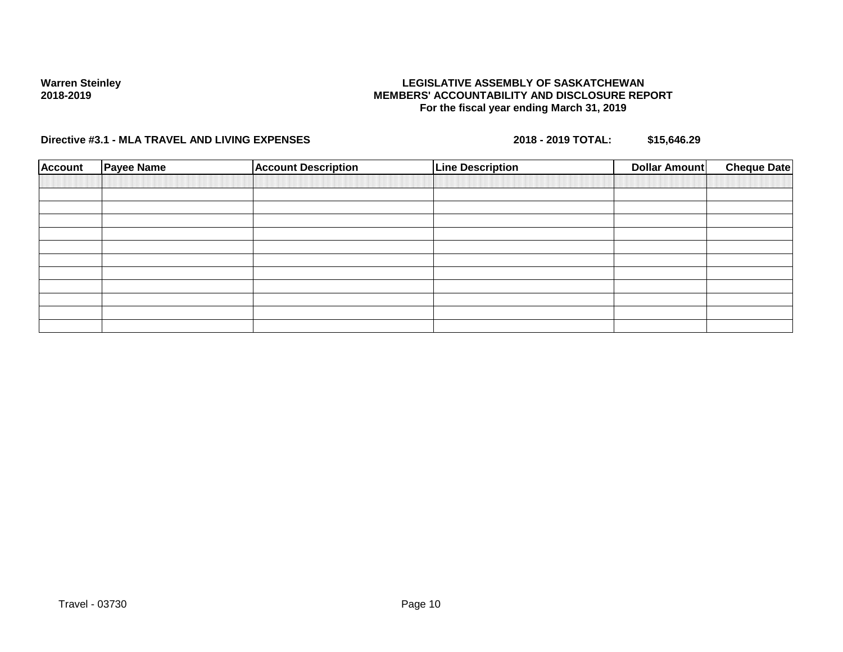## **LEGISLATIVE ASSEMBLY OF SASKATCHEWAN MEMBERS' ACCOUNTABILITY AND DISCLOSURE REPORT For the fiscal year ending March 31, 2019**

| <b>Account</b> | <b>Payee Name</b> | <b>Account Description</b> | <b>Line Description</b> | <b>Dollar Amount</b> | <b>Cheque Date</b> |
|----------------|-------------------|----------------------------|-------------------------|----------------------|--------------------|
|                |                   |                            |                         |                      |                    |
|                |                   |                            |                         |                      |                    |
|                |                   |                            |                         |                      |                    |
|                |                   |                            |                         |                      |                    |
|                |                   |                            |                         |                      |                    |
|                |                   |                            |                         |                      |                    |
|                |                   |                            |                         |                      |                    |
|                |                   |                            |                         |                      |                    |
|                |                   |                            |                         |                      |                    |
|                |                   |                            |                         |                      |                    |
|                |                   |                            |                         |                      |                    |
|                |                   |                            |                         |                      |                    |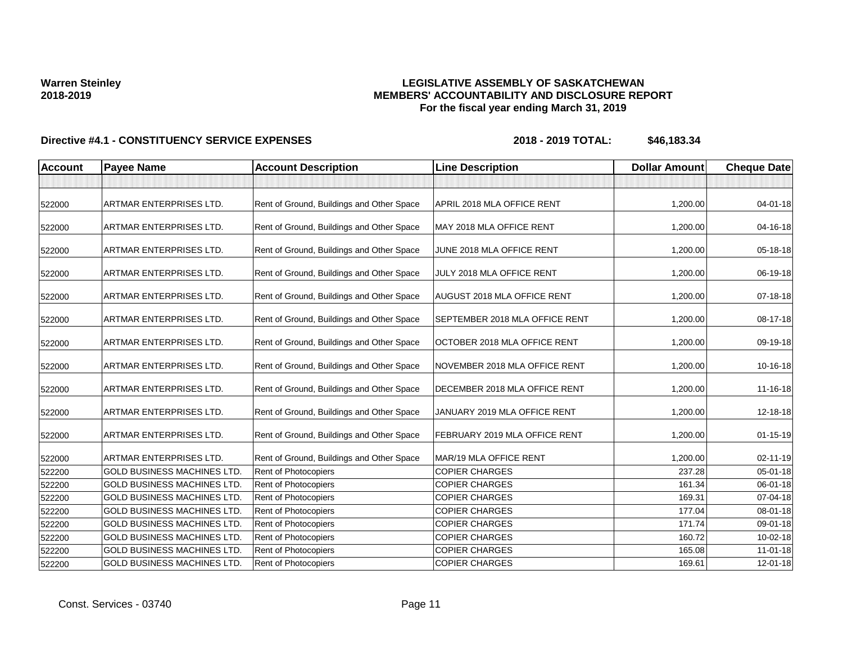## **LEGISLATIVE ASSEMBLY OF SASKATCHEWAN MEMBERS' ACCOUNTABILITY AND DISCLOSURE REPORT For the fiscal year ending March 31, 2019**

| <b>Account</b> | <b>Payee Name</b>                  | <b>Account Description</b>                | <b>Line Description</b>               | <b>Dollar Amount</b> | <b>Cheque Date</b> |
|----------------|------------------------------------|-------------------------------------------|---------------------------------------|----------------------|--------------------|
|                |                                    |                                           |                                       |                      |                    |
| 522000         | <b>ARTMAR ENTERPRISES LTD.</b>     | Rent of Ground, Buildings and Other Space | APRIL 2018 MLA OFFICE RENT            | 1,200.00             | 04-01-18           |
| 522000         | <b>ARTMAR ENTERPRISES LTD.</b>     | Rent of Ground, Buildings and Other Space | MAY 2018 MLA OFFICE RENT              | 1,200.00             | 04-16-18           |
| 522000         | <b>ARTMAR ENTERPRISES LTD.</b>     | Rent of Ground, Buildings and Other Space | JUNE 2018 MLA OFFICE RENT             | 1,200.00             | 05-18-18           |
| 522000         | ARTMAR ENTERPRISES LTD.            | Rent of Ground, Buildings and Other Space | JULY 2018 MLA OFFICE RENT             | 1,200.00             | 06-19-18           |
| 522000         | <b>ARTMAR ENTERPRISES LTD.</b>     | Rent of Ground, Buildings and Other Space | AUGUST 2018 MLA OFFICE RENT           | 1,200.00             | 07-18-18           |
| 522000         | <b>ARTMAR ENTERPRISES LTD.</b>     | Rent of Ground, Buildings and Other Space | <b>SEPTEMBER 2018 MLA OFFICE RENT</b> | 1,200.00             | 08-17-18           |
| 522000         | <b>ARTMAR ENTERPRISES LTD.</b>     | Rent of Ground, Buildings and Other Space | OCTOBER 2018 MLA OFFICE RENT          | 1,200.00             | 09-19-18           |
| 522000         | <b>ARTMAR ENTERPRISES LTD.</b>     | Rent of Ground, Buildings and Other Space | NOVEMBER 2018 MLA OFFICE RENT         | 1.200.00             | 10-16-18           |
| 522000         | <b>ARTMAR ENTERPRISES LTD.</b>     | Rent of Ground, Buildings and Other Space | DECEMBER 2018 MLA OFFICE RENT         | 1,200.00             | 11-16-18           |
| 522000         | <b>ARTMAR ENTERPRISES LTD.</b>     | Rent of Ground, Buildings and Other Space | JANUARY 2019 MLA OFFICE RENT          | 1,200.00             | 12-18-18           |
| 522000         | <b>ARTMAR ENTERPRISES LTD.</b>     | Rent of Ground, Buildings and Other Space | FEBRUARY 2019 MLA OFFICE RENT         | 1,200.00             | $01 - 15 - 19$     |
| 522000         | <b>ARTMAR ENTERPRISES LTD.</b>     | Rent of Ground, Buildings and Other Space | MAR/19 MLA OFFICE RENT                | 1,200.00             | 02-11-19           |
| 522200         | <b>GOLD BUSINESS MACHINES LTD.</b> | Rent of Photocopiers                      | <b>COPIER CHARGES</b>                 | 237.28               | $05 - 01 - 18$     |
| 522200         | <b>GOLD BUSINESS MACHINES LTD</b>  | Rent of Photocopiers                      | <b>COPIER CHARGES</b>                 | 161.34               | 06-01-18           |
| 522200         | <b>GOLD BUSINESS MACHINES LTD.</b> | Rent of Photocopiers                      | <b>COPIER CHARGES</b>                 | 169.31               | 07-04-18           |
| 522200         | <b>GOLD BUSINESS MACHINES LTD.</b> | Rent of Photocopiers                      | <b>COPIER CHARGES</b>                 | 177.04               | 08-01-18           |
| 522200         | <b>GOLD BUSINESS MACHINES LTD.</b> | Rent of Photocopiers                      | <b>COPIER CHARGES</b>                 | 171.74               | 09-01-18           |
| 522200         | <b>GOLD BUSINESS MACHINES LTD.</b> | Rent of Photocopiers                      | <b>COPIER CHARGES</b>                 | 160.72               | 10-02-18           |
| 522200         | <b>GOLD BUSINESS MACHINES LTD.</b> | Rent of Photocopiers                      | <b>COPIER CHARGES</b>                 | 165.08               | $11-01-18$         |
| 522200         | <b>GOLD BUSINESS MACHINES LTD.</b> | Rent of Photocopiers                      | <b>COPIER CHARGES</b>                 | 169.61               | 12-01-18           |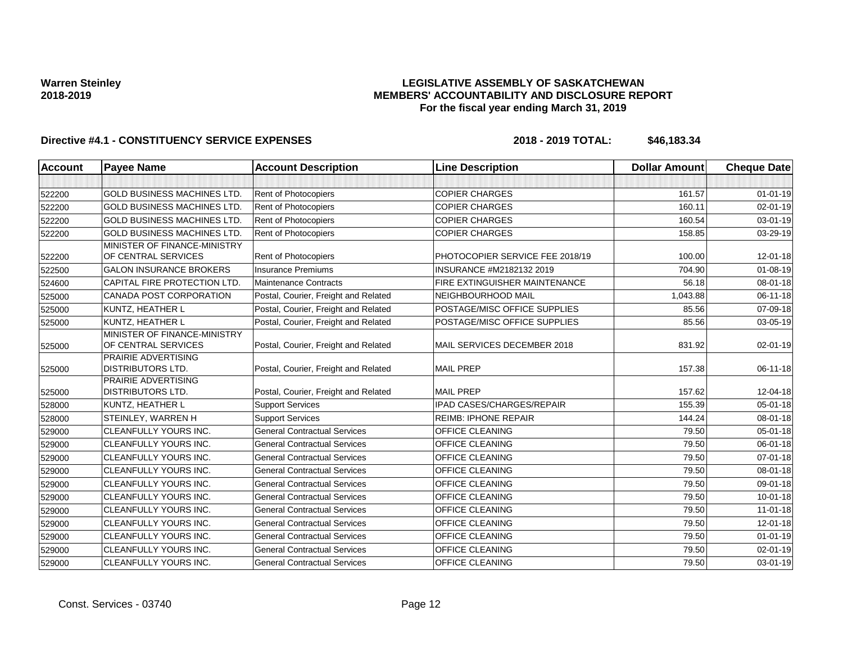## **LEGISLATIVE ASSEMBLY OF SASKATCHEWAN MEMBERS' ACCOUNTABILITY AND DISCLOSURE REPORT For the fiscal year ending March 31, 2019**

| <b>Account</b> | <b>Payee Name</b>                                      | <b>Account Description</b>           | <b>Line Description</b>          | <b>Dollar Amount</b> | <b>Cheque Date</b> |
|----------------|--------------------------------------------------------|--------------------------------------|----------------------------------|----------------------|--------------------|
|                |                                                        |                                      |                                  |                      |                    |
| 522200         | <b>GOLD BUSINESS MACHINES LTD.</b>                     | Rent of Photocopiers                 | <b>COPIER CHARGES</b>            | 161.57               | $01 - 01 - 19$     |
| 522200         | <b>GOLD BUSINESS MACHINES LTD</b>                      | Rent of Photocopiers                 | <b>COPIER CHARGES</b>            | 160.11               | $02 - 01 - 19$     |
| 522200         | <b>GOLD BUSINESS MACHINES LTD</b>                      | Rent of Photocopiers                 | <b>COPIER CHARGES</b>            | 160.54               | 03-01-19           |
| 522200         | <b>GOLD BUSINESS MACHINES LTD.</b>                     | Rent of Photocopiers                 | <b>COPIER CHARGES</b>            | 158.85               | 03-29-19           |
|                | MINISTER OF FINANCE-MINISTRY                           |                                      |                                  |                      |                    |
| 522200         | OF CENTRAL SERVICES                                    | Rent of Photocopiers                 | PHOTOCOPIER SERVICE FEE 2018/19  | 100.00               | 12-01-18           |
| 522500         | <b>GALON INSURANCE BROKERS</b>                         | <b>Insurance Premiums</b>            | INSURANCE #M2182132 2019         | 704.90               | 01-08-19           |
| 524600         | CAPITAL FIRE PROTECTION LTD.                           | Maintenance Contracts                | FIRE EXTINGUISHER MAINTENANCE    | 56.18                | 08-01-18           |
| 525000         | <b>CANADA POST CORPORATION</b>                         | Postal, Courier, Freight and Related | NEIGHBOURHOOD MAIL               | 1,043.88             | 06-11-18           |
| 525000         | KUNTZ, HEATHER L                                       | Postal, Courier, Freight and Related | POSTAGE/MISC OFFICE SUPPLIES     | 85.56                | 07-09-18           |
| 525000         | <b>KUNTZ, HEATHER L</b>                                | Postal, Courier, Freight and Related | POSTAGE/MISC OFFICE SUPPLIES     | 85.56                | 03-05-19           |
| 525000         | MINISTER OF FINANCE-MINISTRY<br>OF CENTRAL SERVICES    | Postal, Courier, Freight and Related | MAIL SERVICES DECEMBER 2018      | 831.92               | 02-01-19           |
| 525000         | <b>PRAIRIE ADVERTISING</b><br><b>DISTRIBUTORS LTD.</b> | Postal, Courier, Freight and Related | <b>MAIL PREP</b>                 | 157.38               | 06-11-18           |
|                | <b>PRAIRIE ADVERTISING</b>                             |                                      |                                  |                      |                    |
| 525000         | <b>DISTRIBUTORS LTD.</b>                               | Postal, Courier, Freight and Related | <b>MAIL PREP</b>                 | 157.62               | 12-04-18           |
| 528000         | KUNTZ, HEATHER L                                       | <b>Support Services</b>              | <b>IPAD CASES/CHARGES/REPAIR</b> | 155.39               | 05-01-18           |
| 528000         | STEINLEY, WARREN H                                     | <b>Support Services</b>              | <b>REIMB: IPHONE REPAIR</b>      | 144.24               | $08 - 01 - 18$     |
| 529000         | <b>CLEANFULLY YOURS INC.</b>                           | <b>General Contractual Services</b>  | <b>OFFICE CLEANING</b>           | 79.50                | 05-01-18           |
| 529000         | <b>CLEANFULLY YOURS INC.</b>                           | <b>General Contractual Services</b>  | OFFICE CLEANING                  | 79.50                | 06-01-18           |
| 529000         | <b>CLEANFULLY YOURS INC.</b>                           | <b>General Contractual Services</b>  | OFFICE CLEANING                  | 79.50                | 07-01-18           |
| 529000         | <b>CLEANFULLY YOURS INC.</b>                           | <b>General Contractual Services</b>  | <b>OFFICE CLEANING</b>           | 79.50                | 08-01-18           |
| 529000         | CLEANFULLY YOURS INC.                                  | <b>General Contractual Services</b>  | OFFICE CLEANING                  | 79.50                | 09-01-18           |
| 529000         | <b>CLEANFULLY YOURS INC.</b>                           | <b>General Contractual Services</b>  | OFFICE CLEANING                  | 79.50                | $10 - 01 - 18$     |
| 529000         | <b>CLEANFULLY YOURS INC.</b>                           | <b>General Contractual Services</b>  | OFFICE CLEANING                  | 79.50                | $11-01-18$         |
| 529000         | CLEANFULLY YOURS INC.                                  | <b>General Contractual Services</b>  | OFFICE CLEANING                  | 79.50                | 12-01-18           |
| 529000         | <b>CLEANFULLY YOURS INC.</b>                           | <b>General Contractual Services</b>  | <b>OFFICE CLEANING</b>           | 79.50                | $01 - 01 - 19$     |
| 529000         | <b>CLEANFULLY YOURS INC.</b>                           | <b>General Contractual Services</b>  | OFFICE CLEANING                  | 79.50                | 02-01-19           |
| 529000         | <b>CLEANFULLY YOURS INC.</b>                           | <b>General Contractual Services</b>  | <b>OFFICE CLEANING</b>           | 79.50                | 03-01-19           |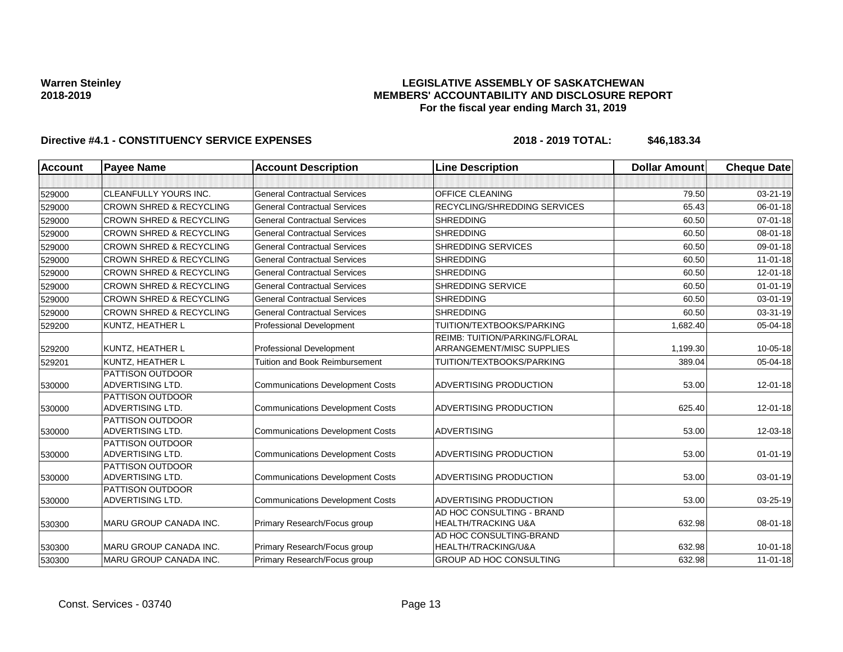## **LEGISLATIVE ASSEMBLY OF SASKATCHEWAN MEMBERS' ACCOUNTABILITY AND DISCLOSURE REPORT For the fiscal year ending March 31, 2019**

| <b>Account</b> | <b>Payee Name</b>                                  | <b>Account Description</b>              | <b>Line Description</b>                                     | <b>Dollar Amount</b> | <b>Cheque Date</b> |
|----------------|----------------------------------------------------|-----------------------------------------|-------------------------------------------------------------|----------------------|--------------------|
|                |                                                    |                                         |                                                             |                      |                    |
| 529000         | <b>CLEANFULLY YOURS INC.</b>                       | <b>General Contractual Services</b>     | OFFICE CLEANING                                             | 79.50                | 03-21-19           |
| 529000         | <b>CROWN SHRED &amp; RECYCLING</b>                 | <b>General Contractual Services</b>     | RECYCLING/SHREDDING SERVICES                                | 65.43                | 06-01-18           |
| 529000         | <b>CROWN SHRED &amp; RECYCLING</b>                 | <b>General Contractual Services</b>     | <b>SHREDDING</b>                                            | 60.50                | $07 - 01 - 18$     |
| 529000         | <b>CROWN SHRED &amp; RECYCLING</b>                 | <b>General Contractual Services</b>     | <b>SHREDDING</b>                                            | 60.50                | 08-01-18           |
| 529000         | <b>CROWN SHRED &amp; RECYCLING</b>                 | <b>General Contractual Services</b>     | <b>SHREDDING SERVICES</b>                                   | 60.50                | 09-01-18           |
| 529000         | <b>CROWN SHRED &amp; RECYCLING</b>                 | <b>General Contractual Services</b>     | <b>SHREDDING</b>                                            | 60.50                | $11-01-18$         |
| 529000         | <b>CROWN SHRED &amp; RECYCLING</b>                 | <b>General Contractual Services</b>     | <b>SHREDDING</b>                                            | 60.50                | 12-01-18           |
| 529000         | <b>CROWN SHRED &amp; RECYCLING</b>                 | <b>General Contractual Services</b>     | <b>SHREDDING SERVICE</b>                                    | 60.50                | $01 - 01 - 19$     |
| 529000         | <b>CROWN SHRED &amp; RECYCLING</b>                 | <b>General Contractual Services</b>     | <b>SHREDDING</b>                                            | 60.50                | 03-01-19           |
| 529000         | <b>CROWN SHRED &amp; RECYCLING</b>                 | <b>General Contractual Services</b>     | <b>SHREDDING</b>                                            | 60.50                | 03-31-19           |
| 529200         | KUNTZ, HEATHER L                                   | <b>Professional Development</b>         | TUITION/TEXTBOOKS/PARKING                                   | 1,682.40             | 05-04-18           |
| 529200         | KUNTZ, HEATHER L                                   | <b>Professional Development</b>         | REIMB: TUITION/PARKING/FLORAL<br>ARRANGEMENT/MISC SUPPLIES  | 1,199.30             | 10-05-18           |
| 529201         | KUNTZ, HEATHER L                                   | <b>Tuition and Book Reimbursement</b>   | TUITION/TEXTBOOKS/PARKING                                   | 389.04               | 05-04-18           |
| 530000         | <b>PATTISON OUTDOOR</b><br><b>ADVERTISING LTD.</b> | <b>Communications Development Costs</b> | ADVERTISING PRODUCTION                                      | 53.00                | 12-01-18           |
| 530000         | <b>PATTISON OUTDOOR</b><br>ADVERTISING LTD.        | <b>Communications Development Costs</b> | ADVERTISING PRODUCTION                                      | 625.40               | 12-01-18           |
| 530000         | PATTISON OUTDOOR<br>ADVERTISING LTD.               | <b>Communications Development Costs</b> | <b>ADVERTISING</b>                                          | 53.00                | 12-03-18           |
| 530000         | <b>PATTISON OUTDOOR</b><br>ADVERTISING LTD.        | <b>Communications Development Costs</b> | ADVERTISING PRODUCTION                                      | 53.00                | $01 - 01 - 19$     |
| 530000         | <b>PATTISON OUTDOOR</b><br>ADVERTISING LTD.        | <b>Communications Development Costs</b> | ADVERTISING PRODUCTION                                      | 53.00                | 03-01-19           |
| 530000         | <b>PATTISON OUTDOOR</b><br>ADVERTISING LTD.        | <b>Communications Development Costs</b> | ADVERTISING PRODUCTION                                      | 53.00                | 03-25-19           |
| 530300         | MARU GROUP CANADA INC.                             | Primary Research/Focus group            | AD HOC CONSULTING - BRAND<br><b>HEALTH/TRACKING U&amp;A</b> | 632.98               | 08-01-18           |
| 530300         | MARU GROUP CANADA INC.                             | Primary Research/Focus group            | AD HOC CONSULTING-BRAND<br>HEALTH/TRACKING/U&A              | 632.98               | $10 - 01 - 18$     |
| 530300         | MARU GROUP CANADA INC.                             | Primary Research/Focus group            | GROUP AD HOC CONSULTING                                     | 632.98               | $11-01-18$         |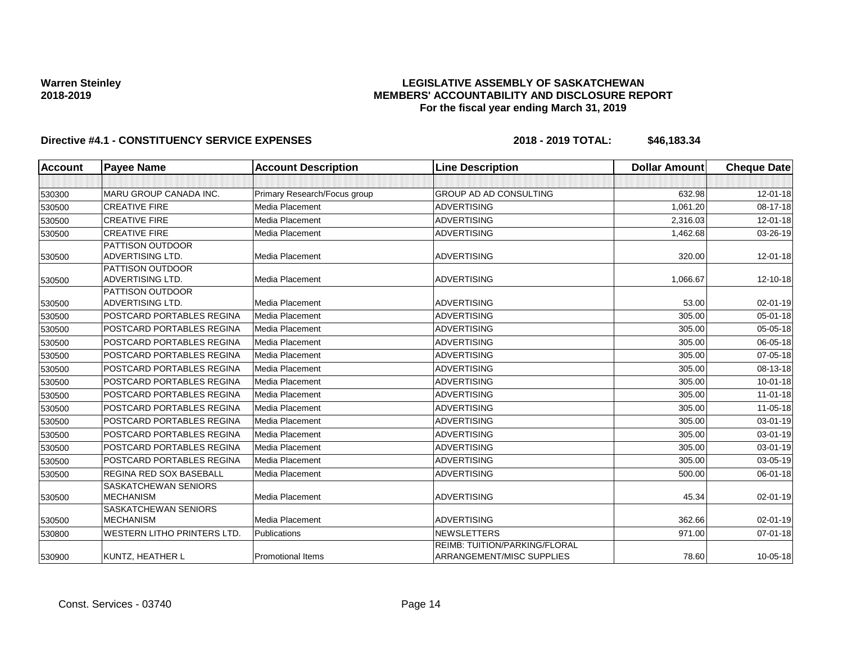## **LEGISLATIVE ASSEMBLY OF SASKATCHEWAN MEMBERS' ACCOUNTABILITY AND DISCLOSURE REPORT For the fiscal year ending March 31, 2019**

| <b>Account</b>   | <b>Payee Name</b>                           | <b>Account Description</b>   | <b>Line Description</b>              | <b>Dollar Amount</b> | <b>Cheque Date</b> |
|------------------|---------------------------------------------|------------------------------|--------------------------------------|----------------------|--------------------|
|                  |                                             |                              |                                      |                      |                    |
| 530300           | MARU GROUP CANADA INC.                      | Primary Research/Focus group | <b>GROUP AD AD CONSULTING</b>        | 632.98               | $12 - 01 - 18$     |
| 530500           | <b>CREATIVE FIRE</b>                        | Media Placement              | <b>ADVERTISING</b>                   | 1,061.20             | 08-17-18           |
| 530500           | <b>CREATIVE FIRE</b>                        | Media Placement              | ADVERTISING                          | 2,316.03             | 12-01-18           |
| 530500           | <b>CREATIVE FIRE</b>                        | <b>Media Placement</b>       | <b>ADVERTISING</b>                   | 1,462.68             | 03-26-19           |
|                  | PATTISON OUTDOOR                            |                              |                                      |                      |                    |
| 530500           | <b>ADVERTISING LTD.</b>                     | Media Placement              | <b>ADVERTISING</b>                   | 320.00               | $12 - 01 - 18$     |
|                  | <b>PATTISON OUTDOOR</b>                     |                              |                                      |                      |                    |
| 530500           | <b>ADVERTISING LTD.</b>                     | Media Placement              | <b>ADVERTISING</b>                   | 1,066.67             | 12-10-18           |
|                  | <b>PATTISON OUTDOOR</b><br>ADVERTISING LTD. | Media Placement              | <b>ADVERTISING</b>                   | 53.00                | 02-01-19           |
| 530500<br>530500 | POSTCARD PORTABLES REGINA                   | Media Placement              | <b>ADVERTISING</b>                   | 305.00               | $05 - 01 - 18$     |
|                  | POSTCARD PORTABLES REGINA                   | Media Placement              | ADVERTISING                          | 305.00               | 05-05-18           |
| 530500           |                                             |                              |                                      |                      |                    |
| 530500           | POSTCARD PORTABLES REGINA                   | Media Placement              | <b>ADVERTISING</b>                   | 305.00               | 06-05-18           |
| 530500           | POSTCARD PORTABLES REGINA                   | Media Placement              | <b>ADVERTISING</b>                   | 305.00               | 07-05-18           |
| 530500           | <b>POSTCARD PORTABLES REGINA</b>            | Media Placement              | <b>ADVERTISING</b>                   | 305.00               | 08-13-18           |
| 530500           | POSTCARD PORTABLES REGINA                   | Media Placement              | <b>ADVERTISING</b>                   | 305.00               | $10-01-18$         |
| 530500           | POSTCARD PORTABLES REGINA                   | Media Placement              | <b>ADVERTISING</b>                   | 305.00               | $11-01-18$         |
| 530500           | POSTCARD PORTABLES REGINA                   | Media Placement              | <b>ADVERTISING</b>                   | 305.00               | $11 - 05 - 18$     |
| 530500           | POSTCARD PORTABLES REGINA                   | Media Placement              | <b>ADVERTISING</b>                   | 305.00               | 03-01-19           |
| 530500           | POSTCARD PORTABLES REGINA                   | Media Placement              | <b>ADVERTISING</b>                   | 305.00               | 03-01-19           |
| 530500           | POSTCARD PORTABLES REGINA                   | Media Placement              | <b>ADVERTISING</b>                   | 305.00               | 03-01-19           |
| 530500           | <b>POSTCARD PORTABLES REGINA</b>            | Media Placement              | <b>ADVERTISING</b>                   | 305.00               | 03-05-19           |
| 530500           | <b>REGINA RED SOX BASEBALL</b>              | Media Placement              | <b>ADVERTISING</b>                   | 500.00               | 06-01-18           |
|                  | <b>SASKATCHEWAN SENIORS</b>                 |                              |                                      |                      |                    |
| 530500           | <b>MECHANISM</b>                            | Media Placement              | <b>ADVERTISING</b>                   | 45.34                | 02-01-19           |
|                  | SASKATCHEWAN SENIORS                        |                              |                                      |                      |                    |
| 530500           | <b>MECHANISM</b>                            | Media Placement              | <b>ADVERTISING</b>                   | 362.66               | 02-01-19           |
| 530800           | <b>WESTERN LITHO PRINTERS LTD.</b>          | Publications                 | <b>NEWSLETTERS</b>                   | 971.00               | $07 - 01 - 18$     |
|                  |                                             |                              | <b>REIMB: TUITION/PARKING/FLORAL</b> |                      |                    |
| 530900           | KUNTZ, HEATHER L                            | <b>Promotional Items</b>     | ARRANGEMENT/MISC SUPPLIES            | 78.60                | 10-05-18           |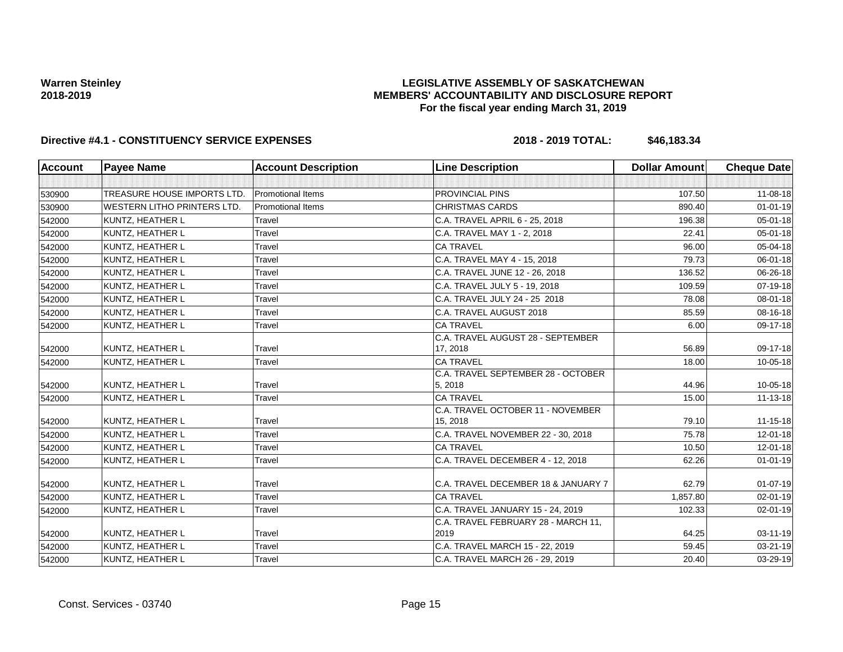## **LEGISLATIVE ASSEMBLY OF SASKATCHEWAN MEMBERS' ACCOUNTABILITY AND DISCLOSURE REPORT For the fiscal year ending March 31, 2019**

| <b>Account</b> | <b>Payee Name</b>           | <b>Account Description</b> | <b>Line Description</b>                       | <b>Dollar Amount</b> | <b>Cheque Date</b> |
|----------------|-----------------------------|----------------------------|-----------------------------------------------|----------------------|--------------------|
|                |                             |                            |                                               |                      |                    |
| 530900         | TREASURE HOUSE IMPORTS LTD. | <b>Promotional Items</b>   | <b>PROVINCIAL PINS</b>                        | 107.50               | $11 - 08 - 18$     |
| 530900         | WESTERN LITHO PRINTERS LTD. | <b>Promotional Items</b>   | <b>CHRISTMAS CARDS</b>                        | 890.40               | $01 - 01 - 19$     |
| 542000         | KUNTZ, HEATHER L            | Travel                     | C.A. TRAVEL APRIL 6 - 25, 2018                | 196.38               | $05 - 01 - 18$     |
| 542000         | KUNTZ, HEATHER L            | Travel                     | C.A. TRAVEL MAY 1 - 2, 2018                   | 22.41                | 05-01-18           |
| 542000         | KUNTZ, HEATHER L            | Travel                     | <b>CA TRAVEL</b>                              | 96.00                | 05-04-18           |
| 542000         | <b>KUNTZ, HEATHER L</b>     | Travel                     | C.A. TRAVEL MAY 4 - 15, 2018                  | 79.73                | 06-01-18           |
| 542000         | KUNTZ, HEATHER L            | Travel                     | C.A. TRAVEL JUNE 12 - 26, 2018                | 136.52               | 06-26-18           |
| 542000         | KUNTZ, HEATHER L            | Travel                     | C.A. TRAVEL JULY 5 - 19, 2018                 | 109.59               | 07-19-18           |
| 542000         | <b>KUNTZ, HEATHER L</b>     | Travel                     | C.A. TRAVEL JULY 24 - 25 2018                 | 78.08                | 08-01-18           |
| 542000         | KUNTZ, HEATHER L            | Travel                     | C.A. TRAVEL AUGUST 2018                       | 85.59                | 08-16-18           |
| 542000         | KUNTZ, HEATHER L            | Travel                     | <b>CA TRAVEL</b>                              | 6.00                 | 09-17-18           |
| 542000         | KUNTZ, HEATHER L            | Travel                     | C.A. TRAVEL AUGUST 28 - SEPTEMBER<br>17, 2018 | 56.89                | 09-17-18           |
| 542000         | <b>KUNTZ, HEATHER L</b>     | Travel                     | <b>CA TRAVEL</b>                              | 18.00                | 10-05-18           |
|                |                             |                            | C.A. TRAVEL SEPTEMBER 28 - OCTOBER            |                      |                    |
| 542000         | KUNTZ, HEATHER L            | Travel                     | 5, 2018                                       | 44.96                | 10-05-18           |
| 542000         | KUNTZ, HEATHER L            | Travel                     | <b>CA TRAVEL</b>                              | 15.00                | 11-13-18           |
| 542000         | KUNTZ, HEATHER L            | Travel                     | C.A. TRAVEL OCTOBER 11 - NOVEMBER<br>15, 2018 | 79.10                | $11 - 15 - 18$     |
| 542000         | KUNTZ, HEATHER L            | Travel                     | C.A. TRAVEL NOVEMBER 22 - 30, 2018            | 75.78                | $12 - 01 - 18$     |
| 542000         | <b>KUNTZ, HEATHER L</b>     | Travel                     | <b>CA TRAVEL</b>                              | 10.50                | $12 - 01 - 18$     |
| 542000         | <b>KUNTZ, HEATHER L</b>     | Travel                     | C.A. TRAVEL DECEMBER 4 - 12, 2018             | 62.26                | $01 - 01 - 19$     |
| 542000         | KUNTZ, HEATHER L            | Travel                     | C.A. TRAVEL DECEMBER 18 & JANUARY 7           | 62.79                | $01 - 07 - 19$     |
| 542000         | KUNTZ. HEATHER L            | Travel                     | <b>CA TRAVEL</b>                              | 1.857.80             | $02 - 01 - 19$     |
| 542000         | <b>KUNTZ, HEATHER L</b>     | Travel                     | C.A. TRAVEL JANUARY 15 - 24, 2019             | 102.33               | $02 - 01 - 19$     |
| 542000         | KUNTZ, HEATHER L            | Travel                     | C.A. TRAVEL FEBRUARY 28 - MARCH 11,<br>2019   | 64.25                | $03 - 11 - 19$     |
| 542000         | <b>KUNTZ, HEATHER L</b>     | Travel                     | C.A. TRAVEL MARCH 15 - 22, 2019               | 59.45                | $03 - 21 - 19$     |
| 542000         | <b>KUNTZ, HEATHER L</b>     | Travel                     | C.A. TRAVEL MARCH 26 - 29, 2019               | 20.40                | 03-29-19           |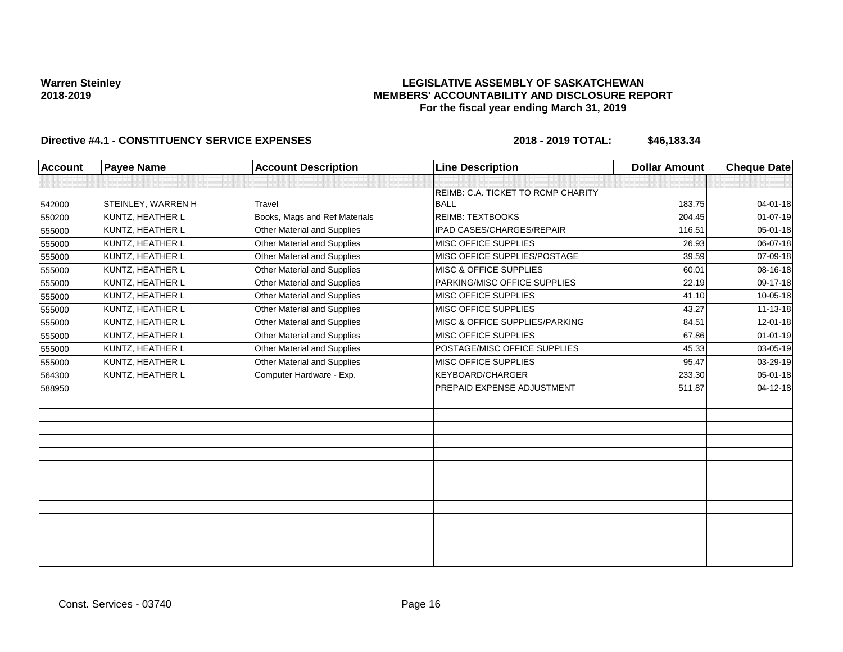## **LEGISLATIVE ASSEMBLY OF SASKATCHEWAN MEMBERS' ACCOUNTABILITY AND DISCLOSURE REPORT For the fiscal year ending March 31, 2019**

| <b>Account</b> | <b>Payee Name</b>         | <b>Account Description</b>    | <b>Line Description</b>            | <b>Dollar Amount</b> | <b>Cheque Date</b> |
|----------------|---------------------------|-------------------------------|------------------------------------|----------------------|--------------------|
|                |                           |                               |                                    |                      |                    |
|                |                           |                               | REIMB: C.A. TICKET TO RCMP CHARITY |                      |                    |
| 542000         | <b>STEINLEY, WARREN H</b> | Travel                        | <b>BALL</b>                        | 183.75               | 04-01-18           |
| 550200         | <b>KUNTZ, HEATHER L</b>   | Books, Mags and Ref Materials | <b>REIMB: TEXTBOOKS</b>            | 204.45               | $01 - 07 - 19$     |
| 555000         | KUNTZ, HEATHER L          | Other Material and Supplies   | <b>IPAD CASES/CHARGES/REPAIR</b>   | 116.51               | 05-01-18           |
| 555000         | KUNTZ, HEATHER L          | Other Material and Supplies   | MISC OFFICE SUPPLIES               | 26.93                | 06-07-18           |
| 555000         | KUNTZ, HEATHER L          | Other Material and Supplies   | MISC OFFICE SUPPLIES/POSTAGE       | 39.59                | 07-09-18           |
| 555000         | KUNTZ, HEATHER L          | Other Material and Supplies   | MISC & OFFICE SUPPLIES             | 60.01                | 08-16-18           |
| 555000         | KUNTZ, HEATHER L          | Other Material and Supplies   | PARKING/MISC OFFICE SUPPLIES       | 22.19                | 09-17-18           |
| 555000         | KUNTZ, HEATHER L          | Other Material and Supplies   | MISC OFFICE SUPPLIES               | 41.10                | 10-05-18           |
| 555000         | KUNTZ, HEATHER L          | Other Material and Supplies   | <b>MISC OFFICE SUPPLIES</b>        | 43.27                | $11 - 13 - 18$     |
| 555000         | KUNTZ, HEATHER L          | Other Material and Supplies   | MISC & OFFICE SUPPLIES/PARKING     | 84.51                | 12-01-18           |
| 555000         | KUNTZ, HEATHER L          | Other Material and Supplies   | MISC OFFICE SUPPLIES               | 67.86                | $01 - 01 - 19$     |
| 555000         | KUNTZ, HEATHER L          | Other Material and Supplies   | POSTAGE/MISC OFFICE SUPPLIES       | 45.33                | 03-05-19           |
| 555000         | KUNTZ, HEATHER L          | Other Material and Supplies   | <b>MISC OFFICE SUPPLIES</b>        | 95.47                | 03-29-19           |
| 564300         | <b>KUNTZ, HEATHER L</b>   | Computer Hardware - Exp.      | <b>KEYBOARD/CHARGER</b>            | 233.30               | $05 - 01 - 18$     |
| 588950         |                           |                               | PREPAID EXPENSE ADJUSTMENT         | 511.87               | $04 - 12 - 18$     |
|                |                           |                               |                                    |                      |                    |
|                |                           |                               |                                    |                      |                    |
|                |                           |                               |                                    |                      |                    |
|                |                           |                               |                                    |                      |                    |
|                |                           |                               |                                    |                      |                    |
|                |                           |                               |                                    |                      |                    |
|                |                           |                               |                                    |                      |                    |
|                |                           |                               |                                    |                      |                    |
|                |                           |                               |                                    |                      |                    |
|                |                           |                               |                                    |                      |                    |
|                |                           |                               |                                    |                      |                    |
|                |                           |                               |                                    |                      |                    |
|                |                           |                               |                                    |                      |                    |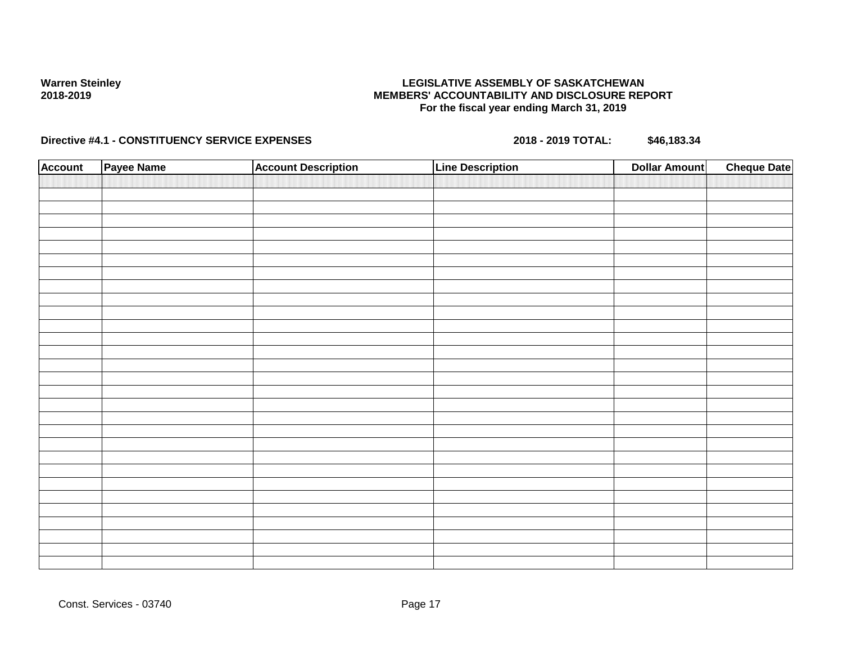## **LEGISLATIVE ASSEMBLY OF SASKATCHEWAN MEMBERS' ACCOUNTABILITY AND DISCLOSURE REPORT For the fiscal year ending March 31, 2019**

| <b>Account</b> | Payee Name | <b>Account Description</b> | <b>Line Description</b> | <b>Dollar Amount</b> | <b>Cheque Date</b> |
|----------------|------------|----------------------------|-------------------------|----------------------|--------------------|
|                |            |                            |                         |                      |                    |
|                |            |                            |                         |                      |                    |
|                |            |                            |                         |                      |                    |
|                |            |                            |                         |                      |                    |
|                |            |                            |                         |                      |                    |
|                |            |                            |                         |                      |                    |
|                |            |                            |                         |                      |                    |
|                |            |                            |                         |                      |                    |
|                |            |                            |                         |                      |                    |
|                |            |                            |                         |                      |                    |
|                |            |                            |                         |                      |                    |
|                |            |                            |                         |                      |                    |
|                |            |                            |                         |                      |                    |
|                |            |                            |                         |                      |                    |
|                |            |                            |                         |                      |                    |
|                |            |                            |                         |                      |                    |
|                |            |                            |                         |                      |                    |
|                |            |                            |                         |                      |                    |
|                |            |                            |                         |                      |                    |
|                |            |                            |                         |                      |                    |
|                |            |                            |                         |                      |                    |
|                |            |                            |                         |                      |                    |
|                |            |                            |                         |                      |                    |
|                |            |                            |                         |                      |                    |
|                |            |                            |                         |                      |                    |
|                |            |                            |                         |                      |                    |
|                |            |                            |                         |                      |                    |
|                |            |                            |                         |                      |                    |
|                |            |                            |                         |                      |                    |
|                |            |                            |                         |                      |                    |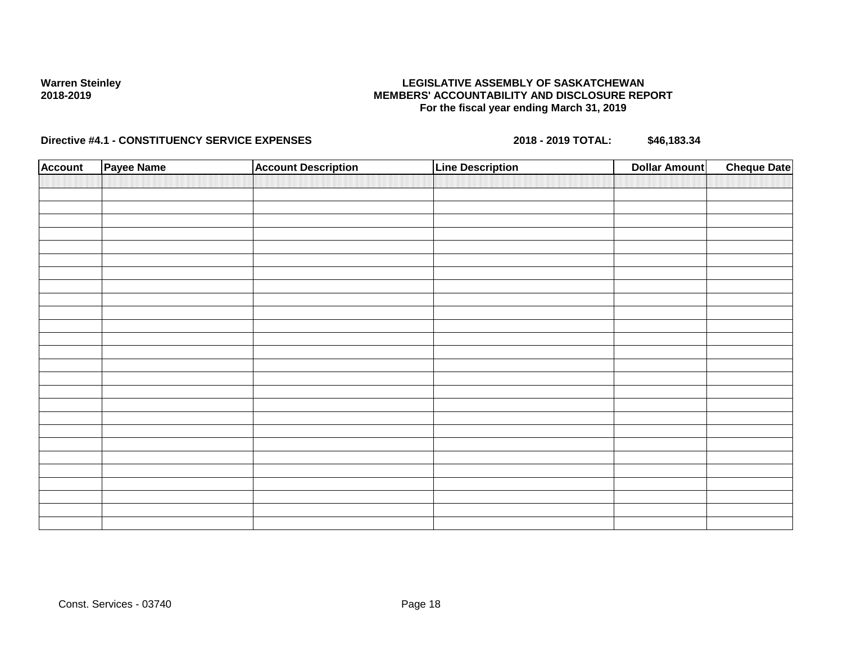## **LEGISLATIVE ASSEMBLY OF SASKATCHEWAN MEMBERS' ACCOUNTABILITY AND DISCLOSURE REPORT For the fiscal year ending March 31, 2019**

| <b>Account</b> | Payee Name | <b>Account Description</b> | <b>Line Description</b> | <b>Dollar Amount</b> | <b>Cheque Date</b> |
|----------------|------------|----------------------------|-------------------------|----------------------|--------------------|
|                |            |                            |                         |                      |                    |
|                |            |                            |                         |                      |                    |
|                |            |                            |                         |                      |                    |
|                |            |                            |                         |                      |                    |
|                |            |                            |                         |                      |                    |
|                |            |                            |                         |                      |                    |
|                |            |                            |                         |                      |                    |
|                |            |                            |                         |                      |                    |
|                |            |                            |                         |                      |                    |
|                |            |                            |                         |                      |                    |
|                |            |                            |                         |                      |                    |
|                |            |                            |                         |                      |                    |
|                |            |                            |                         |                      |                    |
|                |            |                            |                         |                      |                    |
|                |            |                            |                         |                      |                    |
|                |            |                            |                         |                      |                    |
|                |            |                            |                         |                      |                    |
|                |            |                            |                         |                      |                    |
|                |            |                            |                         |                      |                    |
|                |            |                            |                         |                      |                    |
|                |            |                            |                         |                      |                    |
|                |            |                            |                         |                      |                    |
|                |            |                            |                         |                      |                    |
|                |            |                            |                         |                      |                    |
|                |            |                            |                         |                      |                    |
|                |            |                            |                         |                      |                    |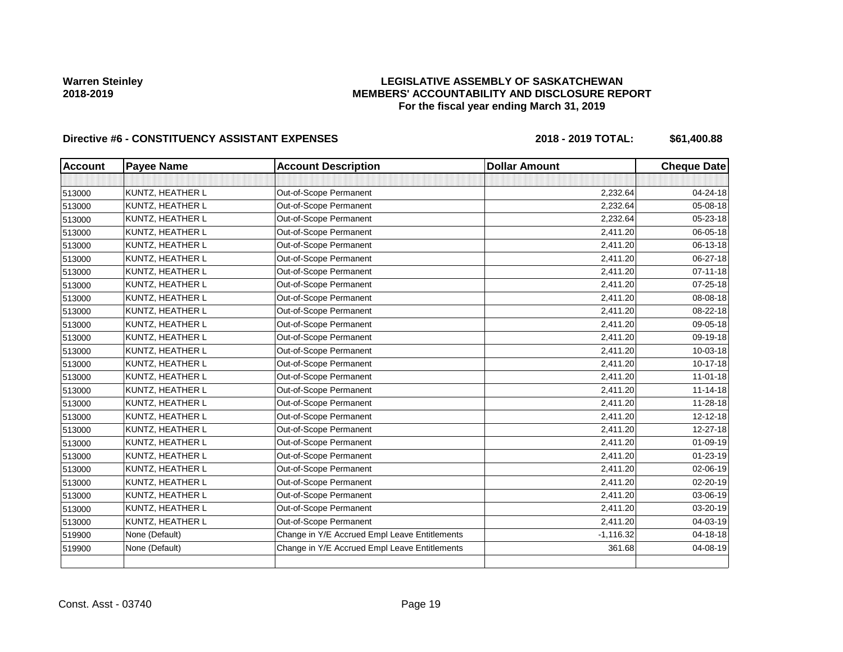## **LEGISLATIVE ASSEMBLY OF SASKATCHEWAN MEMBERS' ACCOUNTABILITY AND DISCLOSURE REPORT For the fiscal year ending March 31, 2019**

| <b>Account</b> | <b>Payee Name</b> | <b>Account Description</b>                    | <b>Dollar Amount</b> | <b>Cheque Date</b> |
|----------------|-------------------|-----------------------------------------------|----------------------|--------------------|
|                |                   |                                               |                      |                    |
| 513000         | KUNTZ, HEATHER L  | Out-of-Scope Permanent                        | 2,232.64             | 04-24-18           |
| 513000         | KUNTZ, HEATHER L  | Out-of-Scope Permanent                        | 2,232.64             | 05-08-18           |
| 513000         | KUNTZ, HEATHER L  | Out-of-Scope Permanent                        | 2,232.64             | 05-23-18           |
| 513000         | KUNTZ, HEATHER L  | Out-of-Scope Permanent                        | 2,411.20             | 06-05-18           |
| 513000         | KUNTZ, HEATHER L  | Out-of-Scope Permanent                        | 2,411.20             | 06-13-18           |
| 513000         | KUNTZ, HEATHER L  | Out-of-Scope Permanent                        | 2,411.20             | 06-27-18           |
| 513000         | KUNTZ, HEATHER L  | Out-of-Scope Permanent                        | 2,411.20             | $07 - 11 - 18$     |
| 513000         | KUNTZ, HEATHER L  | Out-of-Scope Permanent                        | 2,411.20             | 07-25-18           |
| 513000         | KUNTZ, HEATHER L  | Out-of-Scope Permanent                        | 2,411.20             | 08-08-18           |
| 513000         | KUNTZ, HEATHER L  | Out-of-Scope Permanent                        | 2,411.20             | 08-22-18           |
| 513000         | KUNTZ, HEATHER L  | Out-of-Scope Permanent                        | 2,411.20             | 09-05-18           |
| 513000         | KUNTZ, HEATHER L  | Out-of-Scope Permanent                        | 2,411.20             | 09-19-18           |
| 513000         | KUNTZ, HEATHER L  | Out-of-Scope Permanent                        | 2,411.20             | 10-03-18           |
| 513000         | KUNTZ, HEATHER L  | Out-of-Scope Permanent                        | 2,411.20             | 10-17-18           |
| 513000         | KUNTZ, HEATHER L  | Out-of-Scope Permanent                        | 2,411.20             | $11 - 01 - 18$     |
| 513000         | KUNTZ, HEATHER L  | Out-of-Scope Permanent                        | 2,411.20             | $11 - 14 - 18$     |
| 513000         | KUNTZ, HEATHER L  | Out-of-Scope Permanent                        | 2,411.20             | $11 - 28 - 18$     |
| 513000         | KUNTZ, HEATHER L  | Out-of-Scope Permanent                        | 2,411.20             | $12 - 12 - 18$     |
| 513000         | KUNTZ, HEATHER L  | Out-of-Scope Permanent                        | 2,411.20             | 12-27-18           |
| 513000         | KUNTZ, HEATHER L  | Out-of-Scope Permanent                        | 2,411.20             | 01-09-19           |
| 513000         | KUNTZ, HEATHER L  | Out-of-Scope Permanent                        | 2,411.20             | $01 - 23 - 19$     |
| 513000         | KUNTZ, HEATHER L  | Out-of-Scope Permanent                        | 2,411.20             | 02-06-19           |
| 513000         | KUNTZ, HEATHER L  | Out-of-Scope Permanent                        | 2,411.20             | $02 - 20 - 19$     |
| 513000         | KUNTZ, HEATHER L  | Out-of-Scope Permanent                        | 2,411.20             | 03-06-19           |
| 513000         | KUNTZ, HEATHER L  | Out-of-Scope Permanent                        | 2,411.20             | 03-20-19           |
| 513000         | KUNTZ, HEATHER L  | Out-of-Scope Permanent                        | 2,411.20             | 04-03-19           |
| 519900         | None (Default)    | Change in Y/E Accrued Empl Leave Entitlements | $-1,116.32$          | 04-18-18           |
| 519900         | None (Default)    | Change in Y/E Accrued Empl Leave Entitlements | 361.68               | 04-08-19           |
|                |                   |                                               |                      |                    |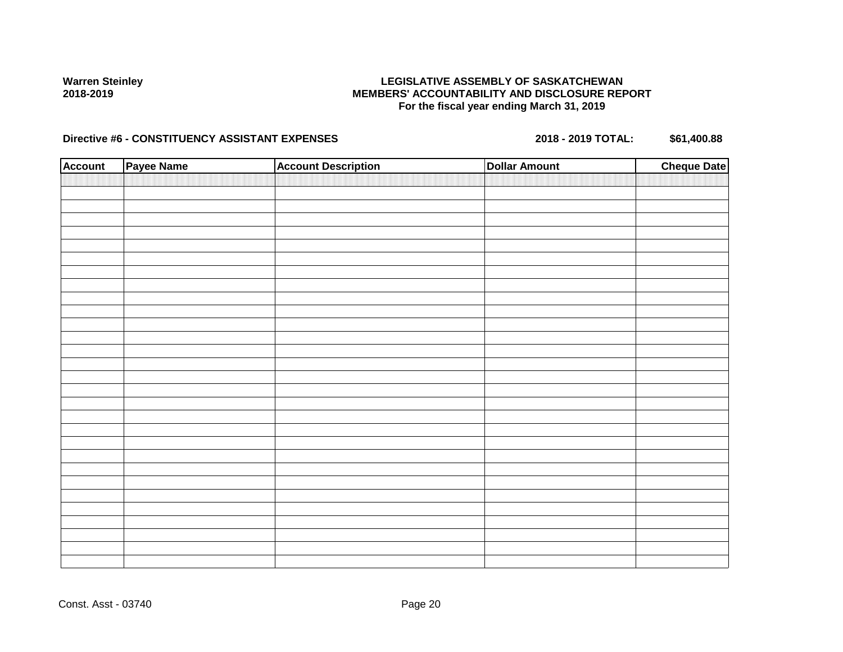## **LEGISLATIVE ASSEMBLY OF SASKATCHEWAN MEMBERS' ACCOUNTABILITY AND DISCLOSURE REPORT For the fiscal year ending March 31, 2019**

| <b>Account</b> | Payee Name | <b>Account Description</b> | <b>Dollar Amount</b> | <b>Cheque Date</b> |
|----------------|------------|----------------------------|----------------------|--------------------|
|                |            |                            |                      |                    |
|                |            |                            |                      |                    |
|                |            |                            |                      |                    |
|                |            |                            |                      |                    |
|                |            |                            |                      |                    |
|                |            |                            |                      |                    |
|                |            |                            |                      |                    |
|                |            |                            |                      |                    |
|                |            |                            |                      |                    |
|                |            |                            |                      |                    |
|                |            |                            |                      |                    |
|                |            |                            |                      |                    |
|                |            |                            |                      |                    |
|                |            |                            |                      |                    |
|                |            |                            |                      |                    |
|                |            |                            |                      |                    |
|                |            |                            |                      |                    |
|                |            |                            |                      |                    |
|                |            |                            |                      |                    |
|                |            |                            |                      |                    |
|                |            |                            |                      |                    |
|                |            |                            |                      |                    |
|                |            |                            |                      |                    |
|                |            |                            |                      |                    |
|                |            |                            |                      |                    |
|                |            |                            |                      |                    |
|                |            |                            |                      |                    |
|                |            |                            |                      |                    |
|                |            |                            |                      |                    |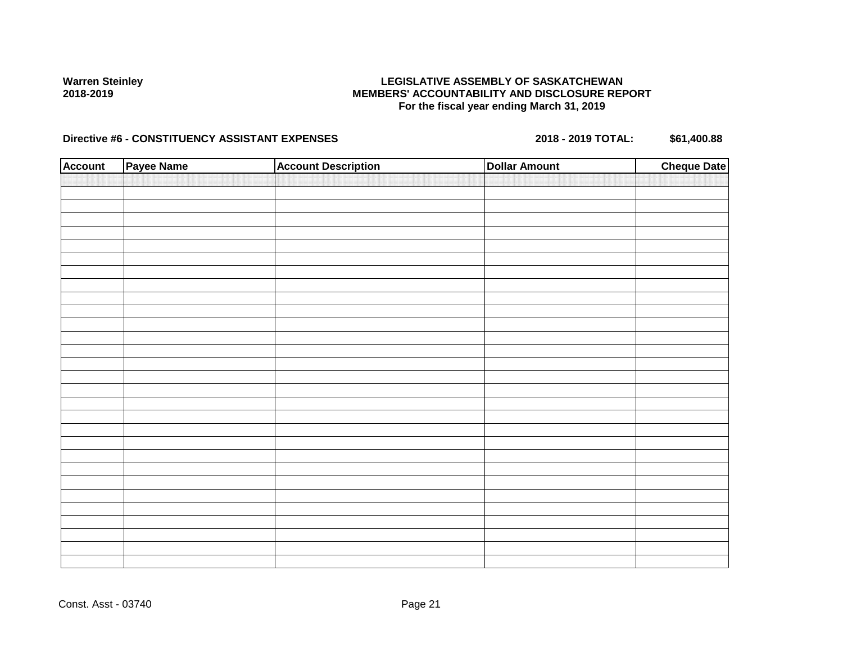## **LEGISLATIVE ASSEMBLY OF SASKATCHEWAN MEMBERS' ACCOUNTABILITY AND DISCLOSURE REPORT For the fiscal year ending March 31, 2019**

| <b>Account</b> | Payee Name | <b>Account Description</b> | <b>Dollar Amount</b> | <b>Cheque Date</b> |
|----------------|------------|----------------------------|----------------------|--------------------|
|                |            |                            |                      |                    |
|                |            |                            |                      |                    |
|                |            |                            |                      |                    |
|                |            |                            |                      |                    |
|                |            |                            |                      |                    |
|                |            |                            |                      |                    |
|                |            |                            |                      |                    |
|                |            |                            |                      |                    |
|                |            |                            |                      |                    |
|                |            |                            |                      |                    |
|                |            |                            |                      |                    |
|                |            |                            |                      |                    |
|                |            |                            |                      |                    |
|                |            |                            |                      |                    |
|                |            |                            |                      |                    |
|                |            |                            |                      |                    |
|                |            |                            |                      |                    |
|                |            |                            |                      |                    |
|                |            |                            |                      |                    |
|                |            |                            |                      |                    |
|                |            |                            |                      |                    |
|                |            |                            |                      |                    |
|                |            |                            |                      |                    |
|                |            |                            |                      |                    |
|                |            |                            |                      |                    |
|                |            |                            |                      |                    |
|                |            |                            |                      |                    |
|                |            |                            |                      |                    |
|                |            |                            |                      |                    |